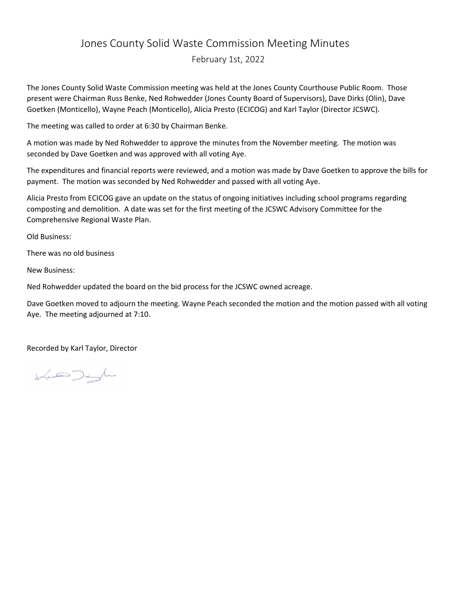## Jones County Solid Waste Commission Meeting Minutes

February 1st, 2022

The Jones County Solid Waste Commission meeting was held at the Jones County Courthouse Public Room. Those present were Chairman Russ Benke, Ned Rohwedder (Jones County Board of Supervisors), Dave Dirks (Olin), Dave Goetken (Monticello), Wayne Peach (Monticello), Alicia Presto (ECICOG) and Karl Taylor (Director JCSWC).

The meeting was called to order at 6:30 by Chairman Benke.

A motion was made by Ned Rohwedder to approve the minutes from the November meeting. The motion was seconded by Dave Goetken and was approved with all voting Aye.

The expenditures and financial reports were reviewed, and a motion was made by Dave Goetken to approve the bills for payment. The motion was seconded by Ned Rohwedder and passed with all voting Aye.

Alicia Presto from ECICOG gave an update on the status of ongoing initiatives including school programs regarding composting and demolition. A date was set for the first meeting of the JCSWC Advisory Committee for the Comprehensive Regional Waste Plan.

Old Business:

There was no old business

New Business:

Ned Rohwedder updated the board on the bid process for the JCSWC owned acreage.

Dave Goetken moved to adjourn the meeting. Wayne Peach seconded the motion and the motion passed with all voting Aye. The meeting adjourned at 7:10.

Recorded by Karl Taylor, Director

 $\begin{picture}(120,115) \put(0,0){\line(1,0){150}} \put(15,0){\line(1,0){150}} \put(15,0){\line(1,0){150}} \put(15,0){\line(1,0){150}} \put(15,0){\line(1,0){150}} \put(15,0){\line(1,0){150}} \put(15,0){\line(1,0){150}} \put(15,0){\line(1,0){150}} \put(15,0){\line(1,0){150}} \put(15,0){\line(1,0){150}} \put(15,0){\line(1,0){150$